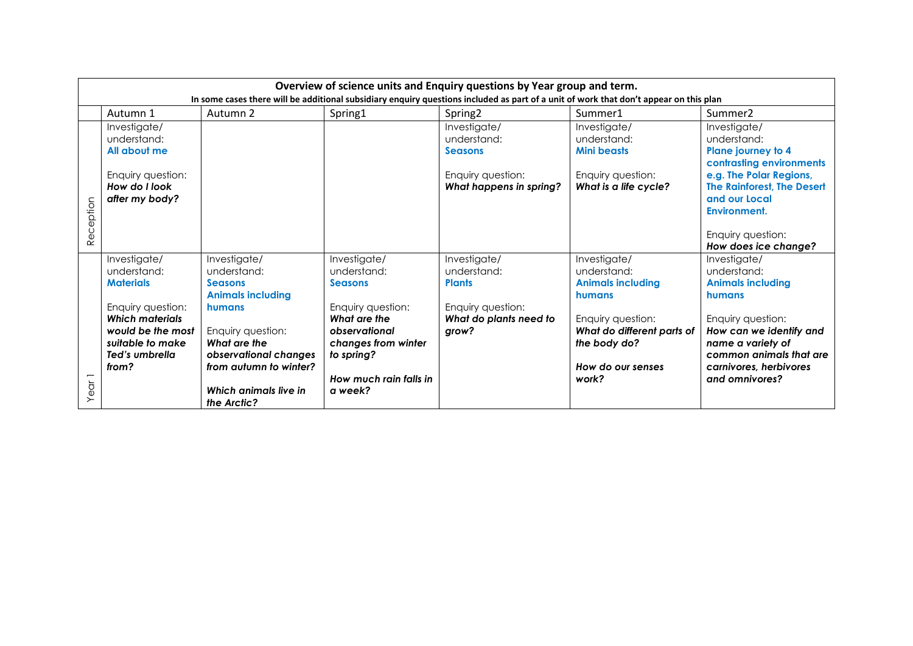|               | Overview of science units and Enquiry questions by Year group and term.<br>In some cases there will be additional subsidiary enquiry questions included as part of a unit of work that don't appear on this plan |                                                                                                                          |                                                                                                                            |                                                                                                      |                                                                                                                                      |                                                                                                                                        |  |  |
|---------------|------------------------------------------------------------------------------------------------------------------------------------------------------------------------------------------------------------------|--------------------------------------------------------------------------------------------------------------------------|----------------------------------------------------------------------------------------------------------------------------|------------------------------------------------------------------------------------------------------|--------------------------------------------------------------------------------------------------------------------------------------|----------------------------------------------------------------------------------------------------------------------------------------|--|--|
|               | Autumn 1                                                                                                                                                                                                         | Autumn 2                                                                                                                 | Spring1                                                                                                                    | Spring <sub>2</sub>                                                                                  | Summer1                                                                                                                              | Summer <sub>2</sub>                                                                                                                    |  |  |
|               | Investigate/<br>understand:<br>All about me                                                                                                                                                                      |                                                                                                                          |                                                                                                                            | Investigate/<br>understand:<br><b>Seasons</b>                                                        | Investigate/<br>understand:<br><b>Mini beasts</b>                                                                                    | Investigate/<br>understand:<br>Plane journey to 4<br>contrasting environments                                                          |  |  |
| eception<br>ě | Enquiry question:<br>How do I look<br>after my body?                                                                                                                                                             |                                                                                                                          |                                                                                                                            | Enquiry question:<br>What happens in spring?                                                         | Enquiry question:<br>What is a life cycle?                                                                                           | e.g. The Polar Regions,<br>The Rainforest, The Desert<br>and our Local<br>Environment.<br>Enquiry question:<br>How does ice change?    |  |  |
|               | Investigate/<br>understand:<br><b>Materials</b><br>Enquiry question:<br><b>Which materials</b><br>would be the most<br>suitable to make                                                                          | Investigate/<br>understand:<br><b>Seasons</b><br><b>Animals including</b><br>humans<br>Enquiry question:<br>What are the | Investigate/<br>understand:<br><b>Seasons</b><br>Enquiry question:<br>What are the<br>observational<br>changes from winter | Investigate/<br>understand:<br><b>Plants</b><br>Enquiry question:<br>What do plants need to<br>grow? | Investigate/<br>understand:<br><b>Animals including</b><br>humans<br>Enquiry question:<br>What do different parts of<br>the body do? | Investigate/<br>understand:<br><b>Animals including</b><br>humans<br>Enquiry question:<br>How can we identify and<br>name a variety of |  |  |
| Year          | Ted's umbrella<br>from?                                                                                                                                                                                          | observational changes<br>from autumn to winter?<br>Which animals live in<br>the Arctic?                                  | to spring?<br>How much rain falls in<br>a week?                                                                            |                                                                                                      | How do our senses<br>work?                                                                                                           | common animals that are<br>carnivores, herbivores<br>and omnivores?                                                                    |  |  |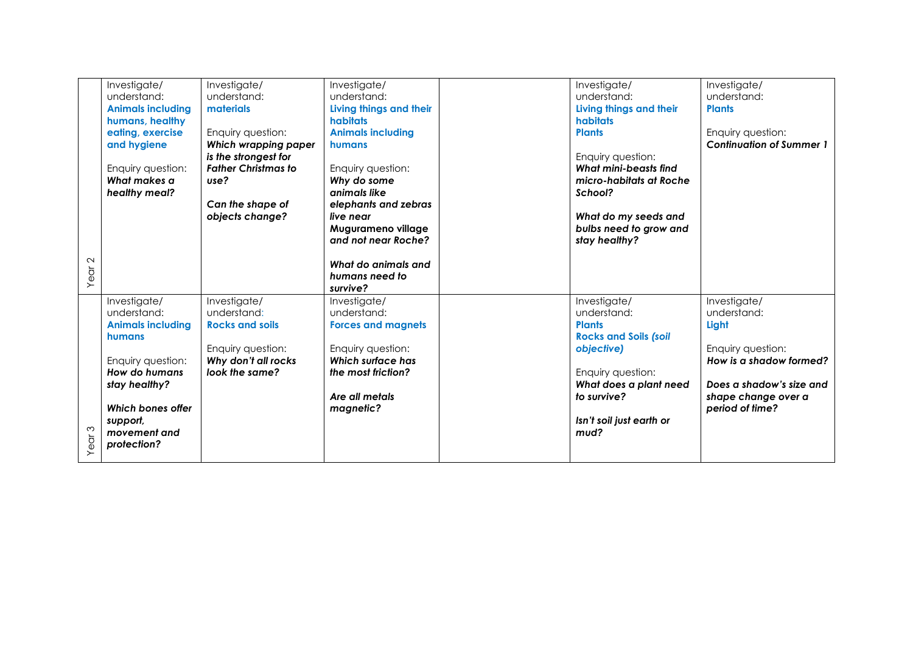|                   | Investigate/<br>understand:<br><b>Animals including</b><br>humans, healthy<br>eating, exercise<br>and hygiene<br>Enquiry question:<br>What makes a<br>healthy meal?                      | Investigate/<br>understand:<br>materials<br>Enquiry question:<br>Which wrapping paper<br>is the strongest for<br><b>Father Christmas to</b><br>use?<br>Can the shape of<br>objects change? | Investigate/<br>understand:<br>Living things and their<br><b>habitats</b><br><b>Animals including</b><br>humans<br>Enquiry question:<br>Why do some<br>animals like<br>elephants and zebras<br>live near<br>Mugurameno village<br>and not near Roche? | Investigate/<br>understand:<br>Living things and their<br>habitats<br><b>Plants</b><br>Enquiry question:<br>What mini-beasts find<br>micro-habitats at Roche<br>School?<br>What do my seeds and<br>bulbs need to grow and<br>stay healthy? | Investigate/<br>understand:<br><b>Plants</b><br>Enquiry question:<br><b>Continuation of Summer 1</b>                                                       |
|-------------------|------------------------------------------------------------------------------------------------------------------------------------------------------------------------------------------|--------------------------------------------------------------------------------------------------------------------------------------------------------------------------------------------|-------------------------------------------------------------------------------------------------------------------------------------------------------------------------------------------------------------------------------------------------------|--------------------------------------------------------------------------------------------------------------------------------------------------------------------------------------------------------------------------------------------|------------------------------------------------------------------------------------------------------------------------------------------------------------|
| Year <sub>2</sub> |                                                                                                                                                                                          |                                                                                                                                                                                            | What do animals and<br>humans need to<br>survive?                                                                                                                                                                                                     |                                                                                                                                                                                                                                            |                                                                                                                                                            |
| $\infty$<br>Year  | Investigate/<br>understand:<br><b>Animals including</b><br>humans<br>Enquiry question:<br>How do humans<br>stay healthy?<br>Which bones offer<br>support,<br>movement and<br>protection? | Investigate/<br>understand:<br><b>Rocks and soils</b><br>Enquiry question:<br>Why don't all rocks<br>look the same?                                                                        | Investigate/<br>understand:<br><b>Forces and magnets</b><br>Enquiry question:<br><b>Which surface has</b><br>the most friction?<br>Are all metals<br>magnetic?                                                                                        | Investigate/<br>understand:<br><b>Plants</b><br><b>Rocks and Soils (soil</b><br>objective)<br>Enquiry question:<br>What does a plant need<br>to survive?<br>Isn't soil just earth or<br>mud?                                               | Investigate/<br>understand:<br>Light<br>Enquiry question:<br>How is a shadow formed?<br>Does a shadow's size and<br>shape change over a<br>period of time? |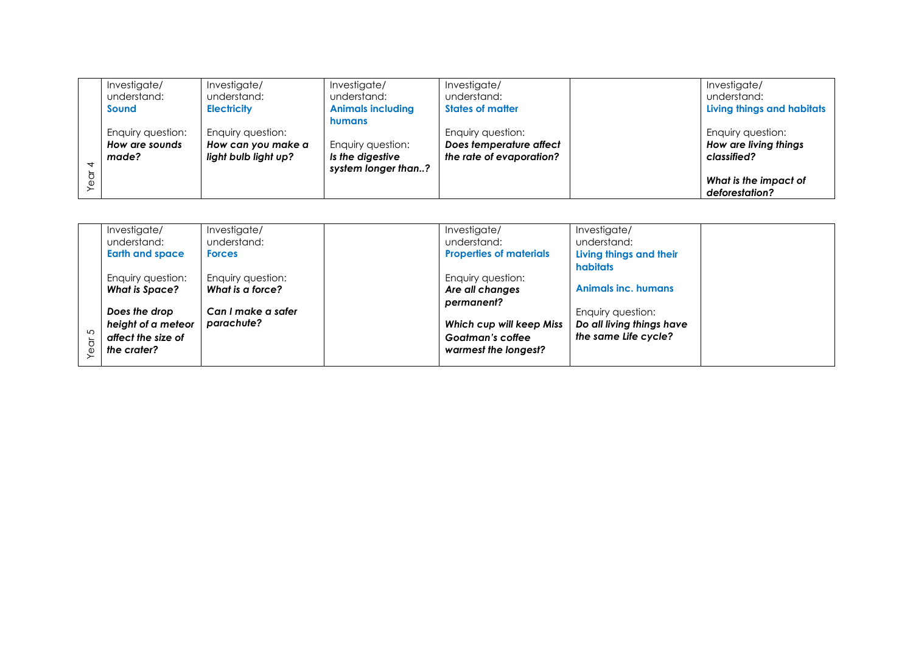| Investigate/      | Investigate/         | Investigate/             | Investigate/             | Investigate/                      |
|-------------------|----------------------|--------------------------|--------------------------|-----------------------------------|
| understand:       | understand:          | understand:              | understand:              | understand:                       |
| <b>Sound</b>      | <b>Electricity</b>   | <b>Animals including</b> | <b>States of matter</b>  | <b>Living things and habitats</b> |
|                   |                      | humans                   |                          |                                   |
| Enquiry question: | Enquiry question:    |                          | Enquiry question:        | Enquiry question:                 |
| How are sounds    | How can you make a   | Enquiry question:        | Does temperature affect  | How are living things             |
| made?             | light bulb light up? | Is the digestive         | the rate of evaporation? | classified?                       |
|                   |                      | system longer than?      |                          |                                   |
|                   |                      |                          |                          | What is the impact of             |
|                   |                      |                          |                          | deforestation?                    |

|   | Investigate/           | Investigate/       | Investigate/                   | Investigate/               |
|---|------------------------|--------------------|--------------------------------|----------------------------|
|   | understand:            | understand:        | understand:                    | understand:                |
|   | <b>Earth and space</b> | <b>Forces</b>      | <b>Properties of materials</b> | Living things and their    |
|   |                        |                    |                                | habitats                   |
|   | Enquiry question:      | Enquiry question:  | Enquiry question:              |                            |
|   | <b>What is Space?</b>  | What is a force?   | Are all changes                | <b>Animals inc. humans</b> |
|   |                        |                    | permanent?                     |                            |
|   | Does the drop          | Can I make a safer |                                | Enquiry question:          |
|   | height of a meteor     | parachute?         | Which cup will keep Miss       | Do all living things have  |
| 5 | affect the size of     |                    | Goatman's coffee               | the same Life cycle?       |
|   | the crater?            |                    | warmest the longest?           |                            |
|   |                        |                    |                                |                            |